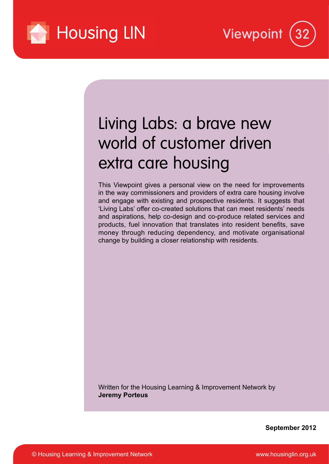



# Living Labs: a brave new world of customer driven extra care housing

This Viewpoint gives a personal view on the need for improvements in the way commissioners and providers of extra care housing involve and engage with existing and prospective residents. It suggests that 'Living Labs' offer co-created solutions that can meet residents' needs and aspirations, help co-design and co-produce related services and products, fuel innovation that translates into resident benefits, save money through reducing dependency, and motivate organisational change by building a closer relationship with residents.

Written for the Housing Learning & Improvement Network by **Jeremy Porteus**

**September 2012**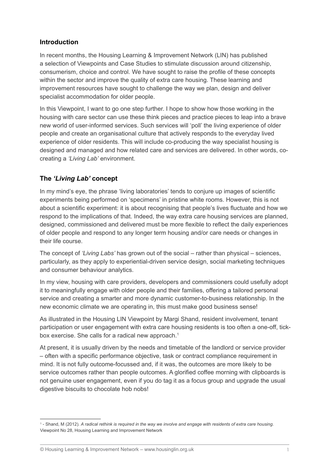## **Introduction**

In recent months, the Housing Learning & Improvement Network (LIN) has published a selection of Viewpoints and Case Studies to stimulate discussion around citizenship, consumerism, choice and control. We have sought to raise the profile of these concepts within the sector and improve the quality of extra care housing. These learning and improvement resources have sought to challenge the way we plan, design and deliver specialist accommodation for older people.

In this Viewpoint, I want to go one step further. I hope to show how those working in the housing with care sector can use these think pieces and practice pieces to leap into a brave new world of user-informed services. Such services will 'poll' the living experience of older people and create an organisational culture that actively responds to the everyday lived experience of older residents. This will include co-producing the way specialist housing is designed and managed and how related care and services are delivered. In other words, cocreating a *'Living Lab'* environment.

# **The** *'Living Lab'* **concept**

In my mind's eye, the phrase 'living laboratories' tends to conjure up images of scientific experiments being performed on 'specimens' in pristine white rooms. However, this is not about a scientific experiment: it is about recognising that people's lives fluctuate and how we respond to the implications of that. Indeed, the way extra care housing services are planned, designed, commissioned and delivered must be more flexible to reflect the daily experiences of older people and respond to any longer term housing and/or care needs or changes in their life course.

The concept of *'Living Labs'* has grown out of the social – rather than physical – sciences, particularly, as they apply to experiential-driven service design, social marketing techniques and consumer behaviour analytics.

In my view, housing with care providers, developers and commissioners could usefully adopt it to meaningfully engage with older people and their families, offering a tailored personal service and creating a smarter and more dynamic customer-to-business relationship. In the new economic climate we are operating in, this must make good business sense!

As illustrated in the Housing LIN Viewpoint by Margi Shand, resident involvement, tenant participation or user engagement with extra care housing residents is too often a one-off, tickbox exercise. She calls for a radical new approach.<sup>1</sup>

At present, it is usually driven by the needs and timetable of the landlord or service provider – often with a specific performance objective, task or contract compliance requirement in mind. It is not fully outcome-focussed and, if it was, the outcomes are more likely to be service outcomes rather than people outcomes. A glorified coffee morning with clipboards is not genuine user engagement, even if you do tag it as a focus group and upgrade the usual digestive biscuits to chocolate hob nobs!

<sup>1</sup> - Shand, M (2012). *A radical rethink is required in the way we involve and engage with residents of extra care housing*. Viewpoint No 28, Housing Learning and Improvement Network

<sup>©</sup> Housing Learning & Improvement Network – www.housinglin.org.uk 1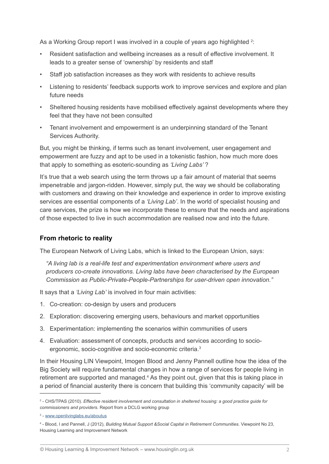As a Working Group report I was involved in a couple of years ago highlighted  $^2$ :

- Resident satisfaction and wellbeing increases as a result of effective involvement. It leads to a greater sense of 'ownership' by residents and staff
- Staff job satisfaction increases as they work with residents to achieve results
- Listening to residents' feedback supports work to improve services and explore and plan future needs
- Sheltered housing residents have mobilised effectively against developments where they feel that they have not been consulted
- Tenant involvement and empowerment is an underpinning standard of the Tenant Services Authority.

But, you might be thinking, if terms such as tenant involvement, user engagement and empowerment are fuzzy and apt to be used in a tokenistic fashion, how much more does that apply to something as esoteric-sounding as *'Living Labs'* ?

It's true that a web search using the term throws up a fair amount of material that seems impenetrable and jargon-ridden. However, simply put, the way we should be collaborating with customers and drawing on their knowledge and experience in order to improve existing services are essential components of a *'Living Lab'*. In the world of specialist housing and care services, the prize is how we incorporate these to ensure that the needs and aspirations of those expected to live in such accommodation are realised now and into the future.

#### **From rhetoric to reality**

The European Network of Living Labs, which is linked to the European Union, says:

*"A living lab is a real-life test and experimentation environment where users and producers co-create innovations. Living labs have been characterised by the European Commission as Public-Private-People-Partnerships for user-driven open innovation."*

It says that a *'Living Lab'* is involved in four main activities:

- 1. Co-creation: co-design by users and producers
- 2. Exploration: discovering emerging users, behaviours and market opportunities
- 3. Experimentation: implementing the scenarios within communities of users
- 4. Evaluation: assessment of concepts, products and services according to socioergonomic, socio-cognitive and socio-economic criteria.3

In their Housing LIN Viewpoint, Imogen Blood and Jenny Pannell outline how the idea of the Big Society will require fundamental changes in how a range of services for people living in retirement are supported and managed.<sup>4</sup> As they point out, given that this is taking place in a period of financial austerity there is concern that building this 'community capacity' will be

<sup>2</sup> - CHS/TPAS (2010). *Effective resident involvement and consultation in sheltered housing: a good practice guide for commissioners and providers*. Report from a DCLG working group

<sup>&</sup>lt;sup>3</sup> - www.openlivinglabs.eu/aboutus

<sup>4</sup> - Blood, I and Pannell, J (2012), *Building Mutual Support &Social Capital in Retirement Communities*. Viewpoint No 23, Housing Learning and Improvement Network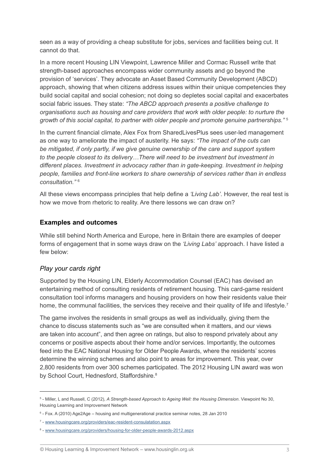seen as a way of providing a cheap substitute for jobs, services and facilities being cut. It cannot do that.

In a more recent Housing LIN Viewpoint, Lawrence Miller and Cormac Russell write that strength-based approaches encompass wider community assets and go beyond the provision of 'services'. They advocate an Asset Based Community Development (ABCD) approach, showing that when citizens address issues within their unique competencies they build social capital and social cohesion; not doing so depletes social capital and exacerbates social fabric issues. They state: *"The ABCD approach presents a positive challenge to organisations such as housing and care providers that work with older people: to nurture the growth of this social capital, to partner with older people and promote genuine partnerships."* <sup>5</sup>

In the current financial climate, Alex Fox from SharedLivesPlus sees user-led management as one way to ameliorate the impact of austerity. He says: *"The impact of the cuts can be mitigated, if only partly, if we give genuine ownership of the care and support system to the people closest to its delivery…There will need to be investment but investment in different places. Investment in advocacy rather than in gate-keeping. Investment in helping people, families and front-line workers to share ownership of services rather than in endless consultation."* <sup>6</sup>

All these views encompass principles that help define a *'Living Lab'*. However, the real test is how we move from rhetoric to reality. Are there lessons we can draw on?

#### **Examples and outcomes**

While still behind North America and Europe, here in Britain there are examples of deeper forms of engagement that in some ways draw on the *'Living Labs'* approach. I have listed a few below:

#### *Play your cards right*

Supported by the Housing LIN, Elderly Accommodation Counsel (EAC) has devised an entertaining method of consulting residents of retirement housing. This card-game resident consultation tool informs managers and housing providers on how their residents value their home, the communal facilities, the services they receive and their quality of life and lifestyle.<sup>7</sup>

The game involves the residents in small groups as well as individually, giving them the chance to discuss statements such as "we are consulted when it matters, and our views are taken into account", and then agree on ratings, but also to respond privately about any concerns or positive aspects about their home and/or services. Importantly, the outcomes feed into the EAC National Housing for Older People Awards, where the residents' scores determine the winning schemes and also point to areas for improvement. This year, over 2,800 residents from over 300 schemes participated. The 2012 Housing LIN award was won by School Court, Hednesford, Staffordshire.<sup>8</sup>

<sup>&</sup>lt;sup>5</sup> - Miller, L and Russell, C (2012), *A Strength-based Approach to Ageing Well: the Housing Dimension*. Viewpoint No 30, Housing Learning and Improvement Network

<sup>6</sup> - Fox. A (2010) Age2Age – housing and multigenerational practice seminar notes, 28 Jan 2010

<sup>7</sup> - www.housingcare.org/providers/eac-resident-consulatation.aspx

<sup>&</sup>lt;sup>8</sup> - www.housingcare.org/providers/housing-for-older-people-awards-2012.aspx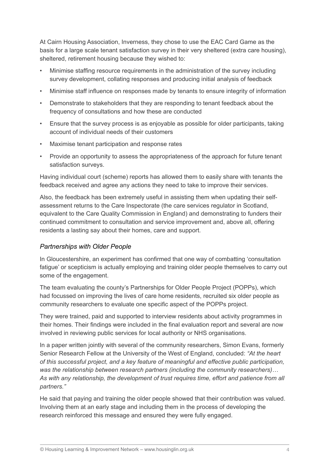At Cairn Housing Association, Inverness, they chose to use the EAC Card Game as the basis for a large scale tenant satisfaction survey in their very sheltered (extra care housing), sheltered, retirement housing because they wished to:

- Minimise staffing resource requirements in the administration of the survey including survey development, collating responses and producing initial analysis of feedback
- Minimise staff influence on responses made by tenants to ensure integrity of information
- Demonstrate to stakeholders that they are responding to tenant feedback about the frequency of consultations and how these are conducted
- Ensure that the survey process is as enjoyable as possible for older participants, taking account of individual needs of their customers
- Maximise tenant participation and response rates
- Provide an opportunity to assess the appropriateness of the approach for future tenant satisfaction surveys.

Having individual court (scheme) reports has allowed them to easily share with tenants the feedback received and agree any actions they need to take to improve their services.

Also, the feedback has been extremely useful in assisting them when updating their selfassessment returns to the Care Inspectorate (the care services regulator in Scotland, equivalent to the Care Quality Commission in England) and demonstrating to funders their continued commitment to consultation and service improvement and, above all, offering residents a lasting say about their homes, care and support.

#### *Partnerships with Older People*

In Gloucestershire, an experiment has confirmed that one way of combatting 'consultation fatigue' or scepticism is actually employing and training older people themselves to carry out some of the engagement.

The team evaluating the county's Partnerships for Older People Project (POPPs), which had focussed on improving the lives of care home residents, recruited six older people as community researchers to evaluate one specific aspect of the POPPs project.

They were trained, paid and supported to interview residents about activity programmes in their homes. Their findings were included in the final evaluation report and several are now involved in reviewing public services for local authority or NHS organisations.

In a paper written jointly with several of the community researchers, Simon Evans, formerly Senior Research Fellow at the University of the West of England, concluded: *"At the heart of this successful project, and a key feature of meaningful and effective public participation, was the relationship between research partners (including the community researchers)… As with any relationship, the development of trust requires time, effort and patience from all partners."*

He said that paying and training the older people showed that their contribution was valued. Involving them at an early stage and including them in the process of developing the research reinforced this message and ensured they were fully engaged.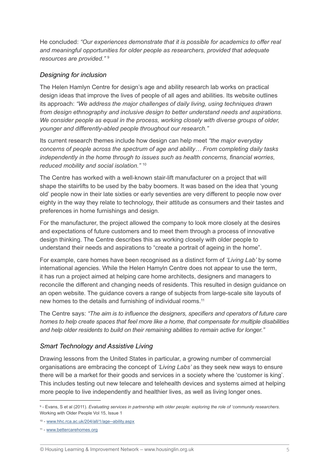He concluded: *"Our experiences demonstrate that it is possible for academics to offer real and meaningful opportunities for older people as researchers, provided that adequate resources are provided."* <sup>9</sup>

#### *Designing for inclusion*

The Helen Hamlyn Centre for design's age and ability research lab works on practical design ideas that improve the lives of people of all ages and abilities. Its website outlines its approach: *"We address the major challenges of daily living, using techniques drawn from design ethnography and inclusive design to better understand needs and aspirations. We consider people as equal in the process, working closely with diverse groups of older, younger and differently-abled people throughout our research."*

Its current research themes include how design can help meet *"the major everyday concerns of people across the spectrum of age and ability… From completing daily tasks independently in the home through to issues such as health concerns, financial worries, reduced mobility and social isolation."* <sup>10</sup>

The Centre has worked with a well-known stair-lift manufacturer on a project that will shape the stairlifts to be used by the baby boomers. It was based on the idea that 'young old' people now in their late sixties or early seventies are very different to people now over eighty in the way they relate to technology, their attitude as consumers and their tastes and preferences in home furnishings and design.

For the manufacturer, the project allowed the company to look more closely at the desires and expectations of future customers and to meet them through a process of innovative design thinking. The Centre describes this as working closely with older people to understand their needs and aspirations to "create a portrait of ageing in the home".

For example, care homes have been recognised as a distinct form of *'Living Lab'* by some international agencies. While the Helen Hamyln Centre does not appear to use the term, it has run a project aimed at helping care home architects, designers and managers to reconcile the different and changing needs of residents. This resulted in design guidance on an open website. The guidance covers a range of subjects from large-scale site layouts of new homes to the details and furnishing of individual rooms.11

The Centre says: *"The aim is to influence the designers, specifiers and operators of future care homes to help create spaces that feel more like a home, that compensate for multiple disabilities and help older residents to build on their remaining abilities to remain active for longer."* 

#### *Smart Technology and Assistive Living*

Drawing lessons from the United States in particular, a growing number of commercial organisations are embracing the concept of *'Living Labs'* as they seek new ways to ensure there will be a market for their goods and services in a society where the 'customer is king'. This includes testing out new telecare and telehealth devices and systems aimed at helping more people to live independently and healthier lives, as well as living longer ones.

<sup>9</sup> - Evans, S et al (2011). *Evaluating services in partnership with older people: exploring the role of 'community researchers*. Working with Older People Vol 15, Issue 1

<sup>10 -</sup> www.hhc.rca.ac.uk/204/all/1/age--ability.aspx

<sup>11 -</sup> www.bettercarehomes.org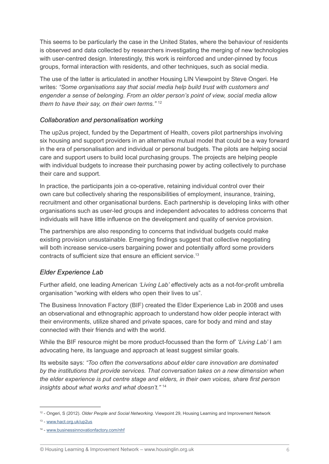This seems to be particularly the case in the United States, where the behaviour of residents is observed and data collected by researchers investigating the merging of new technologies with user-centred design. Interestingly, this work is reinforced and under-pinned by focus groups, formal interaction with residents, and other techniques, such as social media.

The use of the latter is articulated in another Housing LIN Viewpoint by Steve Ongeri. He writes: *"Some organisations say that social media help build trust with customers and engender a sense of belonging. From an older person's point of view, social media allow them to have their say, on their own terms."* <sup>12</sup>

#### *Collaboration and personalisation working*

The up2us project, funded by the Department of Health, covers pilot partnerships involving six housing and support providers in an alternative mutual model that could be a way forward in the era of personalisation and individual or personal budgets. The pilots are helping social care and support users to build local purchasing groups. The projects are helping people with individual budgets to increase their purchasing power by acting collectively to purchase their care and support.

In practice, the participants join a co-operative, retaining individual control over their own care but collectively sharing the responsibilities of employment, insurance, training, recruitment and other organisational burdens. Each partnership is developing links with other organisations such as user-led groups and independent advocates to address concerns that individuals will have little influence on the development and quality of service provision.

The partnerships are also responding to concerns that individual budgets could make existing provision unsustainable. Emerging findings suggest that collective negotiating will both increase service-users bargaining power and potentially afford some providers contracts of sufficient size that ensure an efficient service.<sup>13</sup>

#### *Elder Experience Lab*

Further afield, one leading American *'Living Lab'* effectively acts as a not-for-profit umbrella organisation "working with elders who open their lives to us".

The Business Innovation Factory (BIF) created the Elder Experience Lab in 2008 and uses an observational and ethnographic approach to understand how older people interact with their environments, utilize shared and private spaces, care for body and mind and stay connected with their friends and with the world.

While the BIF resource might be more product-focussed than the form of' *'Living Lab'* I am advocating here, its language and approach at least suggest similar goals.

Its website says: *"Too often the conversations about elder care innovation are dominated by the institutions that provide services. That conversation takes on a new dimension when the elder experience is put centre stage and elders, in their own voices, share first person insights about what works and what doesn't."* <sup>14</sup>

<sup>12 -</sup> Ongeri, S (2012). *Older People and Social Networking*. Viewpoint 29, Housing Learning and Improvement Network

<sup>13 -</sup> www.hact.org.uk/up2us

<sup>14 -</sup> www.businessinnovationfactory.com/nhf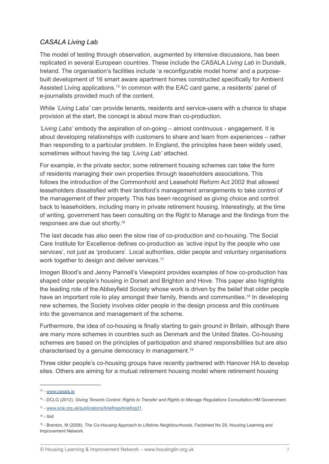# *CASALA Living Lab*

The model of testing through observation, augmented by intensive discussions, has been replicated in several European countries. These include the CASALA *Living Lab* in Dundalk, Ireland. The organisation's facilities include 'a reconfigurable model home' and a purposebuilt development of 16 smart aware apartment homes constructed specifically for Ambient Assisted Living applications.<sup>15</sup> In common with the EAC card game, a residents' panel of e-journalists provided much of the content.

While *'Living Labs'* can provide tenants, residents and service-users with a chance to shape provision at the start, the concept is about more than co-production.

*'Living Labs'* embody the aspiration of on-going – almost continuous - engagement. It is about developing relationships with customers to share and learn from experiences – rather than responding to a particular problem. In England, the principles have been widely used, sometimes without having the tag *'Living Lab'* attached.

For example, in the private sector, some retirement housing schemes can take the form of residents managing their own properties through leaseholders associations. This follows the introduction of the Commonhold and Leasehold Reform Act 2002 that allowed leaseholders dissatisfied with their landlord's management arrangements to take control of the management of their property. This has been recognised as giving choice and control back to leaseholders, including many in private retirement housing. Interestingly, at the time of writing, government has been consulting on the Right to Manage and the findings from the responses are due out shortly.16

The last decade has also seen the slow rise of co-production and co-housing. The Social Care Institute for Excellence defines co-production as 'active input by the people who use services', not just as 'producers'. Local authorities, older people and voluntary organisations work together to design and deliver services.<sup>17</sup>

Imogen Blood's and Jenny Pannell's Viewpoint provides examples of how co-production has shaped older people's housing in Dorset and Brighton and Hove. This paper also highlights the leading role of the Abbeyfield Society whose work is driven by the belief that older people have an important role to play amongst their family, friends and communities.<sup>18</sup> In developing new schemes, the Society involves older people in the design process and this continues into the governance and management of the scheme.

Furthermore, the idea of co-housing is finally starting to gain ground in Britain, although there are many more schemes in countries such as Denmark and the United States. Co-housing schemes are based on the principles of participation and shared responsibilities but are also characterised by a genuine democracy in management.19

Three older people's co-housing groups have recently partnered with Hanover HA to develop sites. Others are aiming for a mutual retirement housing model where retirement housing

 $18 -$  Ibid

<sup>15 -</sup> www.casala.ie

<sup>16 -</sup> DCLG (2012). *Giving Tenants Control: Rights to Transfer and Rights to Manage Regulations Consultation*.HM Government

<sup>17 -</sup> www.scie.org.uk/publications/briefings/briefing31

<sup>19 -</sup> Brenton, M (2008). *The Co-Housing Approach to Lifetime Neighbourhoods*. Factsheet No 29, Housing Learning and Improvement Network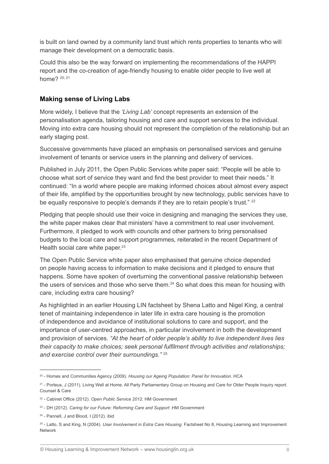is built on land owned by a community land trust which rents properties to tenants who will manage their development on a democratic basis.

Could this also be the way forward on implementing the recommendations of the HAPPI report and the co-creation of age-friendly housing to enable older people to live well at home? 20, 21

## **Making sense of Living Labs**

More widely, I believe that the *'Living Lab'* concept represents an extension of the personalisation agenda, tailoring housing and care and support services to the individual. Moving into extra care housing should not represent the completion of the relationship but an early staging post.

Successive governments have placed an emphasis on personalised services and genuine involvement of tenants or service users in the planning and delivery of services.

Published in July 2011, the Open Public Services white paper said: "People will be able to choose what sort of service they want and find the best provider to meet their needs." It continued: "In a world where people are making informed choices about almost every aspect of their life, amplified by the opportunities brought by new technology, public services have to be equally responsive to people's demands if they are to retain people's trust." <sup>22</sup>

Pledging that people should use their voice in designing and managing the services they use, the white paper makes clear that ministers' have a commitment to real user involvement. Furthermore, it pledged to work with councils and other partners to bring personalised budgets to the local care and support programmes, reiterated in the recent Department of Health social care white paper.<sup>23</sup>

The Open Public Service white paper also emphasised that genuine choice depended on people having access to information to make decisions and it pledged to ensure that happens. Some have spoken of overturning the conventional passive relationship between the users of services and those who serve them.<sup>24</sup> So what does this mean for housing with care, including extra care housing?

As highlighted in an earlier Housing LIN factsheet by Shena Latto and Nigel King, a central tenet of maintaining independence in later life in extra care housing is the promotion of independence and avoidance of institutional solutions to care and support, and the importance of user-centred approaches, in particular involvement in both the development and provision of services. *"At the heart of older people's ability to live independent lives lies their capacity to make choices; seek personal fulfilment through activities and relationships; and exercise control over their surroundings."* <sup>25</sup>

<sup>20 -</sup> Homes and Communities Agency (2009). *Housing our Ageing Population: Panel for Innovation*. HCA

<sup>21 -</sup> Porteus, J (2011). Living Well at Home. All Party Parliamentary Group on Housing and Care for Older People Inquiry report. Counsel & Care

<sup>22</sup> - Cabinet Office (2012). *Open Public Service 2012*. HM Government

<sup>&</sup>lt;sup>23</sup> - DH (2012). *Caring for our Future: Reforming Care and Support* .HM Government

<sup>24 -</sup> Pannell, J and Blood, I (2012). ibid

<sup>25 -</sup> Latto, S and King, N (2004). *User Involvement in Extra Care Housing.* Factsheet No 8, Housing Learning and Improvement Network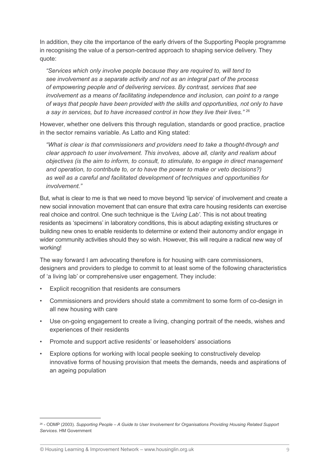In addition, they cite the importance of the early drivers of the Supporting People programme in recognising the value of a person-centred approach to shaping service delivery. They quote:

*"Services which only involve people because they are required to, will tend to see involvement as a separate activity and not as an integral part of the process of empowering people and of delivering services. By contrast, services that see involvement as a means of facilitating independence and inclusion, can point to a range of ways that people have been provided with the skills and opportunities, not only to have a say in services, but to have increased control in how they live their lives."* <sup>26</sup>

However, whether one delivers this through regulation, standards or good practice, practice in the sector remains variable. As Latto and King stated:

*"What is clear is that commissioners and providers need to take a thought-through and clear approach to user involvement. This involves, above all, clarity and realism about objectives (is the aim to inform, to consult, to stimulate, to engage in direct management and operation, to contribute to, or to have the power to make or veto decisions?) as well as a careful and facilitated development of techniques and opportunities for involvement."*

But, what is clear to me is that we need to move beyond 'lip service' of involvement and create a new social innovation movement that can ensure that extra care housing residents can exercise real choice and control. One such technique is the *'Living Lab'*. This is not about treating residents as 'specimens' in laboratory conditions, this is about adapting existing structures or building new ones to enable residents to determine or extend their autonomy and/or engage in wider community activities should they so wish. However, this will require a radical new way of working!

The way forward I am advocating therefore is for housing with care commissioners, designers and providers to pledge to commit to at least some of the following characteristics of 'a living lab' or comprehensive user engagement. They include:

- Explicit recognition that residents are consumers
- Commissioners and providers should state a commitment to some form of co-design in all new housing with care
- Use on-going engagement to create a living, changing portrait of the needs, wishes and experiences of their residents
- Promote and support active residents' or leaseholders' associations
- Explore options for working with local people seeking to constructively develop innovative forms of housing provision that meets the demands, needs and aspirations of an ageing population

<sup>26 -</sup> ODMP (2003). *Supporting People – A Guide to User Involvement for Organisations Providing Housing Related Support Services*. HM Government

<sup>©</sup> Housing Learning & Improvement Network – www.housinglin.org.uk 9